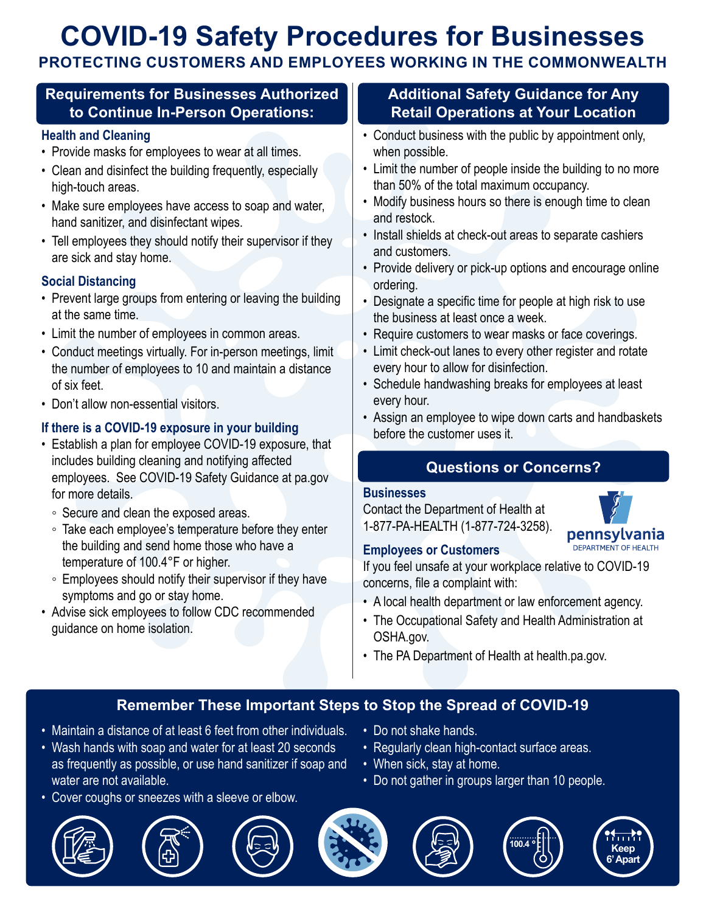# **COVID-19 Safety Procedures for Businesses**

# **PROTECTING CUSTOMERS AND EMPLOYEES WORKING IN THE COMMONWEALTH**

### **Requirements for Businesses Authorized to Continue In-Person Operations:**

#### **Health and Cleaning**

- Provide masks for employees to wear at all times.
- Clean and disinfect the building frequently, especially high-touch areas.
- Make sure employees have access to soap and water, hand sanitizer, and disinfectant wipes.
- Tell employees they should notify their supervisor if they are sick and stay home.

#### **Social Distancing**

- Prevent large groups from entering or leaving the building at the same time.
- Limit the number of employees in common areas.
- Conduct meetings virtually. For in-person meetings, limit the number of employees to 10 and maintain a distance of six feet.
- Don't allow non-essential visitors.

#### **If there is a COVID-19 exposure in your building**

- Establish a plan for employee COVID-19 exposure, that includes building cleaning and notifying affected employees. See COVID-19 Safety Guidance at pa.gov for more details.
	- Secure and clean the exposed areas.
	- Take each employee's temperature before they enter the building and send home those who have a temperature of 100.4°F or higher.
	- Employees should notify their supervisor if they have symptoms and go or stay home.
- Advise sick employees to follow CDC recommended guidance on home isolation.

### **Additional Safety Guidance for Any Retail Operations at Your Location**

- Conduct business with the public by appointment only, when possible.
- Limit the number of people inside the building to no more than 50% of the total maximum occupancy.
- Modify business hours so there is enough time to clean and restock.
- Install shields at check-out areas to separate cashiers and customers.
- Provide delivery or pick-up options and encourage online ordering.
- Designate a specific time for people at high risk to use the business at least once a week.
- Require customers to wear masks or face coverings.
- Limit check-out lanes to every other register and rotate every hour to allow for disinfection.
- Schedule handwashing breaks for employees at least every hour.
- Assign an employee to wipe down carts and handbaskets before the customer uses it.

# **Questions or Concerns?**

#### **Businesses**

Contact the Department of Health at 1-877-PA-HEALTH (1-877-724-3258).



#### **Employees or Customers**

If you feel unsafe at your workplace relative to COVID-19 concerns, file a complaint with:

- A local health department or law enforcement agency.
- The Occupational Safety and Health Administration at OSHA.gov.
- The PA Department of Health at health.pa.gov.

# **Remember These Important Steps to Stop the Spread of COVID-19**

- Maintain a distance of at least 6 feet from other individuals.
- Wash hands with soap and water for at least 20 seconds as frequently as possible, or use hand sanitizer if soap and water are not available.
- Cover coughs or sneezes with a sleeve or elbow.









- Do not shake hands.
- Regularly clean high-contact surface areas.
- When sick, stay at home.
- Do not gather in groups larger than 10 people.